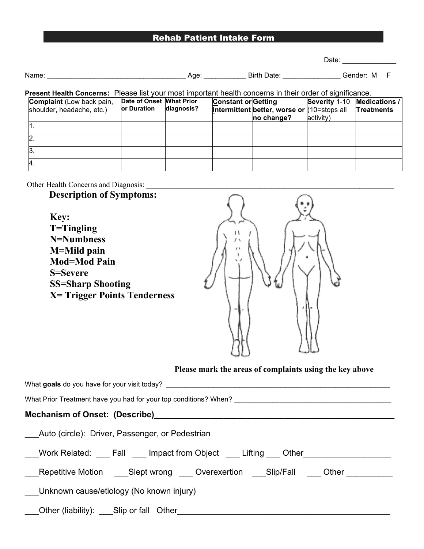# Rehab Patient Intake Form

Date: \_\_\_\_\_\_\_\_\_\_\_\_\_\_

| Name | AOP | Jate<br>sirtr. | .<br>-101 | M |  |
|------|-----|----------------|-----------|---|--|
|      |     |                |           |   |  |

### **Present Health Concerns:** Please list your most important health concerns in their order of significance.

| <b>Complaint</b> (Low back pain,<br>shoulder, headache, etc.) | Date of Onset What Prior<br><b>lor Duration</b> | diagnosis? | <b>Constant or Getting</b> | Intermittent better, worse or (10=stops all | Severity 1-10 Medications / | Treatments |
|---------------------------------------------------------------|-------------------------------------------------|------------|----------------------------|---------------------------------------------|-----------------------------|------------|
|                                                               |                                                 |            |                            | no change?                                  | activity)                   |            |
|                                                               |                                                 |            |                            |                                             |                             |            |
|                                                               |                                                 |            |                            |                                             |                             |            |
|                                                               |                                                 |            |                            |                                             |                             |            |
|                                                               |                                                 |            |                            |                                             |                             |            |

Other Health Concerns and Diagnosis: \_\_\_\_\_\_\_\_\_\_\_\_\_\_\_\_\_\_\_\_\_\_\_\_\_\_\_\_\_\_\_\_\_\_\_\_\_\_\_\_\_\_\_\_\_\_\_\_\_\_\_\_\_\_\_\_\_\_\_\_\_\_\_\_\_

# **Description of Symptoms:**

**Key: T=Tingling N=Numbness M=Mild pain Mod=Mod Pain S=Severe SS=Sharp Shooting X= Trigger Points Tenderness**



#### **Please mark the areas of complaints using the key above**

| What goals do you have for your visit today?                                              |
|-------------------------------------------------------------------------------------------|
| What Prior Treatment have you had for your top conditions? When?                          |
|                                                                                           |
| Auto (circle): Driver, Passenger, or Pedestrian                                           |
| ___Work Related: ____Fall ____Impact from Object ____ Lifting ___ Other _________         |
| Repetitive Motion _____Slept wrong _____ Overexertion _____Slip/Fall _____ Other ________ |
| Unknown cause/etiology (No known injury)                                                  |
| ____Other (liability): ____Slip or fall Other_________                                    |